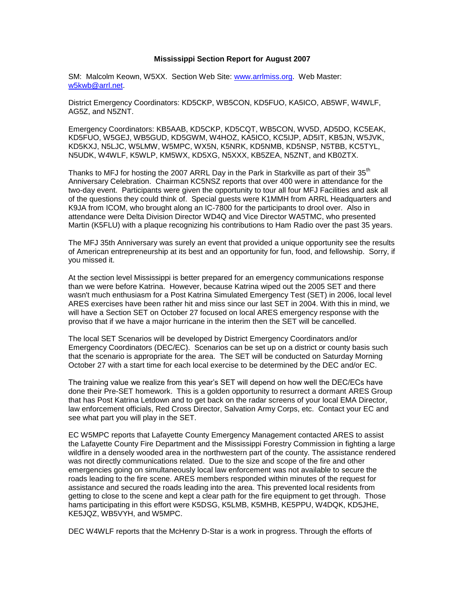## **Mississippi Section Report for August 2007**

SM: Malcolm Keown, W5XX. Section Web Site: [www.arrlmiss.org.](http://www.arrlmiss.org/) Web Master: [w5kwb@arrl.net.](mailto:w5kwb@arrl.net)

District Emergency Coordinators: KD5CKP, WB5CON, KD5FUO, KA5ICO, AB5WF, W4WLF, AG5Z, and N5ZNT.

Emergency Coordinators: KB5AAB, KD5CKP, KD5CQT, WB5CON, WV5D, AD5DO, KC5EAK, KD5FUO, W5GEJ, WB5GUD, KD5GWM, W4HOZ, KA5ICO, KC5IJP, AD5IT, KB5JN, W5JVK, KD5KXJ, N5LJC, W5LMW, W5MPC, WX5N, K5NRK, KD5NMB, KD5NSP, N5TBB, KC5TYL, N5UDK, W4WLF, K5WLP, KM5WX, KD5XG, N5XXX, KB5ZEA, N5ZNT, and KB0ZTX.

Thanks to MFJ for hosting the 2007 ARRL Day in the Park in Starkville as part of their 35<sup>th</sup> Anniversary Celebration. Chairman KC5NSZ reports that over 400 were in attendance for the two-day event. Participants were given the opportunity to tour all four MFJ Facilities and ask all of the questions they could think of. Special guests were K1MMH from ARRL Headquarters and K9JA from ICOM, who brought along an IC-7800 for the participants to drool over. Also in attendance were Delta Division Director WD4Q and Vice Director WA5TMC, who presented Martin (K5FLU) with a plaque recognizing his contributions to Ham Radio over the past 35 years.

The MFJ 35th Anniversary was surely an event that provided a unique opportunity see the results of American entrepreneurship at its best and an opportunity for fun, food, and fellowship. Sorry, if you missed it.

At the section level Mississippi is better prepared for an emergency communications response than we were before Katrina. However, because Katrina wiped out the 2005 SET and there wasn't much enthusiasm for a Post Katrina Simulated Emergency Test (SET) in 2006, local level ARES exercises have been rather hit and miss since our last SET in 2004. With this in mind, we will have a Section SET on October 27 focused on local ARES emergency response with the proviso that if we have a major hurricane in the interim then the SET will be cancelled.

The local SET Scenarios will be developed by District Emergency Coordinators and/or Emergency Coordinators (DEC/EC). Scenarios can be set up on a district or county basis such that the scenario is appropriate for the area. The SET will be conducted on Saturday Morning October 27 with a start time for each local exercise to be determined by the DEC and/or EC.

The training value we realize from this year's SET will depend on how well the DEC/ECs have done their Pre-SET homework. This is a golden opportunity to resurrect a dormant ARES Group that has Post Katrina Letdown and to get back on the radar screens of your local EMA Director, law enforcement officials, Red Cross Director, Salvation Army Corps, etc. Contact your EC and see what part you will play in the SET.

EC W5MPC reports that Lafayette County Emergency Management contacted ARES to assist the Lafayette County Fire Department and the Mississippi Forestry Commission in fighting a large wildfire in a densely wooded area in the northwestern part of the county. The assistance rendered was not directly communications related. Due to the size and scope of the fire and other emergencies going on simultaneously local law enforcement was not available to secure the roads leading to the fire scene. ARES members responded within minutes of the request for assistance and secured the roads leading into the area. This prevented local residents from getting to close to the scene and kept a clear path for the fire equipment to get through. Those hams participating in this effort were K5DSG, K5LMB, K5MHB, KE5PPU, W4DQK, KD5JHE, KE5JQZ, WB5VYH, and W5MPC.

DEC W4WLF reports that the McHenry D-Star is a work in progress. Through the efforts of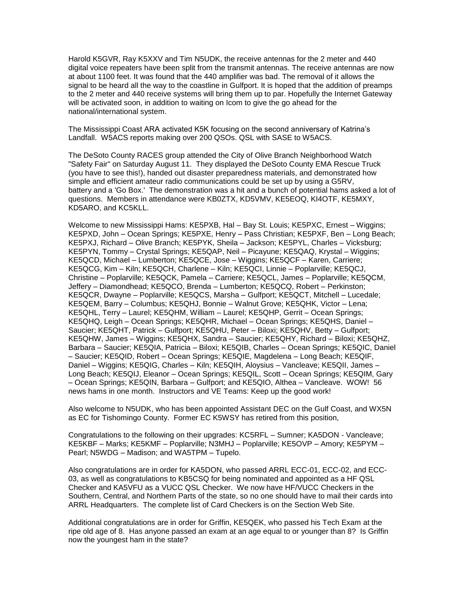Harold K5GVR, Ray K5XXV and Tim N5UDK, the receive antennas for the 2 meter and 440 digital voice repeaters have been split from the transmit antennas. The receive antennas are now at about 1100 feet. It was found that the 440 amplifier was bad. The removal of it allows the signal to be heard all the way to the coastline in Gulfport. It is hoped that the addition of preamps to the 2 meter and 440 receive systems will bring them up to par. Hopefully the Internet Gateway will be activated soon, in addition to waiting on Icom to give the go ahead for the national/international system.

The Mississippi Coast ARA activated K5K focusing on the second anniversary of Katrina's Landfall. W5ACS reports making over 200 QSOs. QSL with SASE to W5ACS.

The DeSoto County RACES group attended the City of Olive Branch Neighborhood Watch "Safety Fair" on Saturday August 11. They displayed the DeSoto County EMA Rescue Truck (you have to see this!), handed out disaster preparedness materials, and demonstrated how simple and efficient amateur radio communications could be set up by using a G5RV, battery and a 'Go Box.' The demonstration was a hit and a bunch of potential hams asked a lot of questions. Members in attendance were KB0ZTX, KD5VMV, KE5EOQ, KI4OTF, KE5MXY, KD5ARO, and KC5KLL.

Welcome to new Mississippi Hams: KE5PXB, Hal – Bay St. Louis; KE5PXC, Ernest – Wiggins; KE5PXD, John – Ocean Springs; KE5PXE, Henry – Pass Christian; KE5PXF, Ben – Long Beach; KE5PXJ, Richard – Olive Branch; KE5PYK, Sheila – Jackson; KE5PYL, Charles – Vicksburg; KE5PYN, Tommy – Crystal Springs; KE5QAP, Neil – Picayune; KE5QAQ, Krystal – Wiggins; KE5QCD, Michael – Lumberton; KE5QCE, Jose – Wiggins; KE5QCF – Karen, Carriere; KE5QCG, Kim – Kiln; KE5QCH, Charlene – Kiln; KE5QCI, Linnie – Poplarville; KE5QCJ, Christine – Poplarville; KE5QCK, Pamela – Carriere; KE5QCL, James – Poplarville; KE5QCM, Jeffery – Diamondhead; KE5QCO, Brenda – Lumberton; KE5QCQ, Robert – Perkinston; KE5QCR, Dwayne – Poplarville; KE5QCS, Marsha – Gulfport; KE5QCT, Mitchell – Lucedale; KE5QEM, Barry – Columbus; KE5QHJ, Bonnie – Walnut Grove; KE5QHK, Victor – Lena; KE5QHL, Terry – Laurel; KE5QHM, William – Laurel; KE5QHP, Gerrit – Ocean Springs; KE5QHQ, Leigh – Ocean Springs; KE5QHR, Michael – Ocean Springs; KE5QHS, Daniel – Saucier; KE5QHT, Patrick – Gulfport; KE5QHU, Peter – Biloxi; KE5QHV, Betty – Gulfport; KE5QHW, James – Wiggins; KE5QHX, Sandra – Saucier; KE5QHY, Richard – Biloxi; KE5QHZ, Barbara – Saucier; KE5QIA, Patricia – Biloxi; KE5QIB, Charles – Ocean Springs; KE5QIC, Daniel – Saucier; KE5QID, Robert – Ocean Springs; KE5QIE, Magdelena – Long Beach; KE5QIF, Daniel – Wiggins; KE5QIG, Charles – Kiln; KE5QIH, Aloysius – Vancleave; KE5QII, James – Long Beach; KE5QIJ, Eleanor – Ocean Springs; KE5QIL, Scott – Ocean Springs; KE5QIM, Gary – Ocean Springs; KE5QIN, Barbara – Gulfport; and KE5QIO, Althea – Vancleave. WOW! 56 news hams in one month. Instructors and VE Teams: Keep up the good work!

Also welcome to N5UDK, who has been appointed Assistant DEC on the Gulf Coast, and WX5N as EC for Tishomingo County. Former EC K5WSY has retired from this position,

Congratulations to the following on their upgrades: KC5RFL – Sumner; KA5DON - Vancleave; KE5KBF – Marks; KE5KMF – Poplarville; N3MHJ – Poplarville; KE5OVP – Amory; KE5PYM – Pearl; N5WDG – Madison; and WA5TPM – Tupelo.

Also congratulations are in order for KA5DON, who passed ARRL ECC-01, ECC-02, and ECC-03, as well as congratulations to KB5CSQ for being nominated and appointed as a HF QSL Checker and KA5VFU as a VUCC QSL Checker. We now have HF/VUCC Checkers in the Southern, Central, and Northern Parts of the state, so no one should have to mail their cards into ARRL Headquarters. The complete list of Card Checkers is on the Section Web Site.

Additional congratulations are in order for Griffin, KE5QEK, who passed his Tech Exam at the ripe old age of 8. Has anyone passed an exam at an age equal to or younger than 8? Is Griffin now the youngest ham in the state?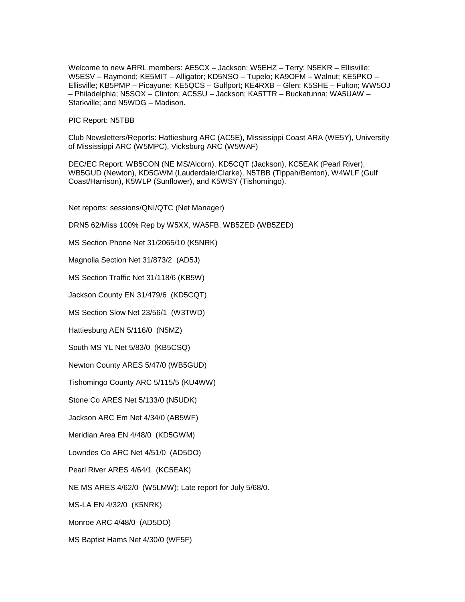Welcome to new ARRL members: AE5CX – Jackson; W5EHZ – Terry; N5EKR – Ellisville; W5ESV – Raymond; KE5MIT – Alligator; KD5NSO – Tupelo; KA9OFM – Walnut; KE5PKO – Ellisville; KB5PMP – Picayune; KE5QCS – Gulfport; KE4RXB – Glen; K5SHE – Fulton; WW5OJ – Philadelphia; N5SOX – Clinton; AC5SU – Jackson; KA5TTR – Buckatunna; WA5UAW – Starkville; and N5WDG – Madison.

PIC Report: N5TBB

Club Newsletters/Reports: Hattiesburg ARC (AC5E), Mississippi Coast ARA (WE5Y), University of Mississippi ARC (W5MPC), Vicksburg ARC (W5WAF)

DEC/EC Report: WB5CON (NE MS/Alcorn), KD5CQT (Jackson), KC5EAK (Pearl River), WB5GUD (Newton), KD5GWM (Lauderdale/Clarke), N5TBB (Tippah/Benton), W4WLF (Gulf Coast/Harrison), K5WLP (Sunflower), and K5WSY (Tishomingo).

Net reports: sessions/QNI/QTC (Net Manager)

DRN5 62/Miss 100% Rep by W5XX, WA5FB, WB5ZED (WB5ZED)

MS Section Phone Net 31/2065/10 (K5NRK)

Magnolia Section Net 31/873/2 (AD5J)

MS Section Traffic Net 31/118/6 (KB5W)

Jackson County EN 31/479/6 (KD5CQT)

MS Section Slow Net 23/56/1 (W3TWD)

Hattiesburg AEN 5/116/0 (N5MZ)

South MS YL Net 5/83/0 (KB5CSQ)

Newton County ARES 5/47/0 (WB5GUD)

Tishomingo County ARC 5/115/5 (KU4WW)

Stone Co ARES Net 5/133/0 (N5UDK)

Jackson ARC Em Net 4/34/0 (AB5WF)

Meridian Area EN 4/48/0 (KD5GWM)

Lowndes Co ARC Net 4/51/0 (AD5DO)

Pearl River ARES 4/64/1 (KC5EAK)

NE MS ARES 4/62/0 (W5LMW); Late report for July 5/68/0.

MS-LA EN 4/32/0 (K5NRK)

Monroe ARC 4/48/0 (AD5DO)

MS Baptist Hams Net 4/30/0 (WF5F)